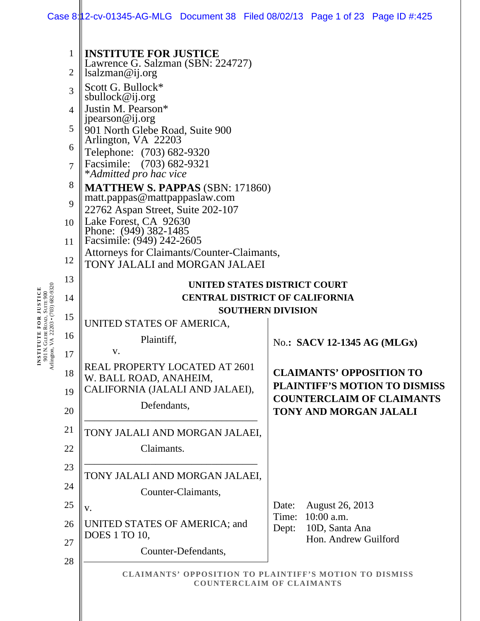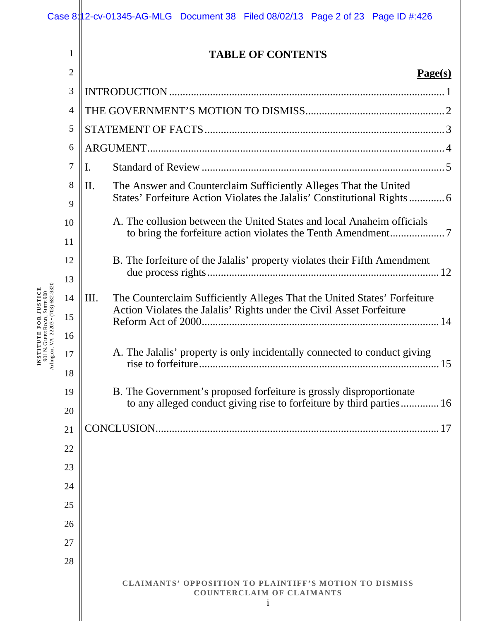| $\mathbf{1}$   | <b>TABLE OF CONTENTS</b>                                                                                                                                 |         |
|----------------|----------------------------------------------------------------------------------------------------------------------------------------------------------|---------|
| $\overline{2}$ |                                                                                                                                                          | Page(s) |
| 3              |                                                                                                                                                          |         |
| $\overline{4}$ |                                                                                                                                                          |         |
| 5              |                                                                                                                                                          |         |
| 6              |                                                                                                                                                          |         |
| 7              |                                                                                                                                                          |         |
| 8<br>$\alpha$  | $\prod$ .<br>The Answer and Counterclaim Sufficiently Alleges That the United<br>States' Forfeiture Action Violates the Jalalis' Constitutional Rights 6 |         |

| A. The collusion between the United States and local Anaheim officials |
|------------------------------------------------------------------------|
|                                                                        |
|                                                                        |

|    | B. The forfeiture of the Jalalis' property violates their Fifth Amendment                                                                        |  |
|----|--------------------------------------------------------------------------------------------------------------------------------------------------|--|
| Ш. | The Counterclaim Sufficiently Alleges That the United States' Forfeiture<br>Action Violates the Jalalis' Rights under the Civil Asset Forfeiture |  |
|    | A. The Jalalis' property is only incidentally connected to conduct giving                                                                        |  |

| B. The Government's proposed forfeiture is grossly disproportionate  |
|----------------------------------------------------------------------|
| to any alleged conduct giving rise to forfeiture by third parties 16 |

CONCLUSION ........................................................................................................ 17

27

28

**INSTITUTE FOR JUSTICE** 901 N. GLEBE ROAD, SUITE 900 Arlington, VA 22203 • (703) 682-9320 9

10

11

12

13

14

15

16

17

18

**CLAIMANTS' OPPOSITION TO PLAINTIFF'S MOTION TO DISMISS**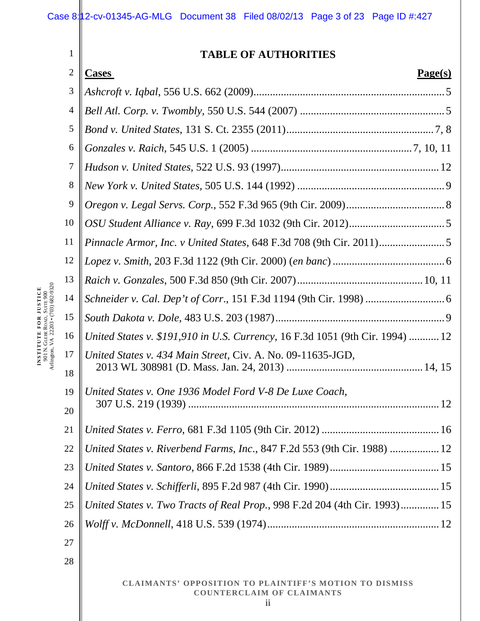# Case 8:12-cv-01345-AG-MLG Document 38 Filed 08/02/13 Page 3 of 23 Page ID #:427

| 1              | <b>TABLE OF AUTHORITIES</b>                                                   |
|----------------|-------------------------------------------------------------------------------|
| $\overline{2}$ | Page(s)<br><b>Cases</b>                                                       |
| 3              |                                                                               |
| $\overline{4}$ |                                                                               |
| 5              |                                                                               |
| 6              |                                                                               |
| 7              |                                                                               |
| 8              |                                                                               |
| 9              |                                                                               |
| 10             |                                                                               |
| 11             |                                                                               |
| 12             |                                                                               |
| 13             |                                                                               |
| 14             |                                                                               |
| 15             |                                                                               |
| 16             | United States v. \$191,910 in U.S. Currency, 16 F.3d 1051 (9th Cir. 1994)  12 |
| 17             | United States v. 434 Main Street, Civ. A. No. 09-11635-JGD,                   |
| 18             |                                                                               |
| 19             | United States v. One 1936 Model Ford V-8 De Luxe Coach,                       |
| 20             |                                                                               |
| 21             |                                                                               |
| 22             | United States v. Riverbend Farms, Inc., 847 F.2d 553 (9th Cir. 1988)  12      |
| 23             |                                                                               |
| 24             |                                                                               |
| 25             | United States v. Two Tracts of Real Prop., 998 F.2d 204 (4th Cir. 1993) 15    |
| 26             |                                                                               |
| 27             |                                                                               |
| 28             |                                                                               |
|                |                                                                               |

**INSTITUTE FOR JUSTICE** 901 N. GLEBE ROAD, SUITE 900 Arlington, VA 22203 • (703) 682-9320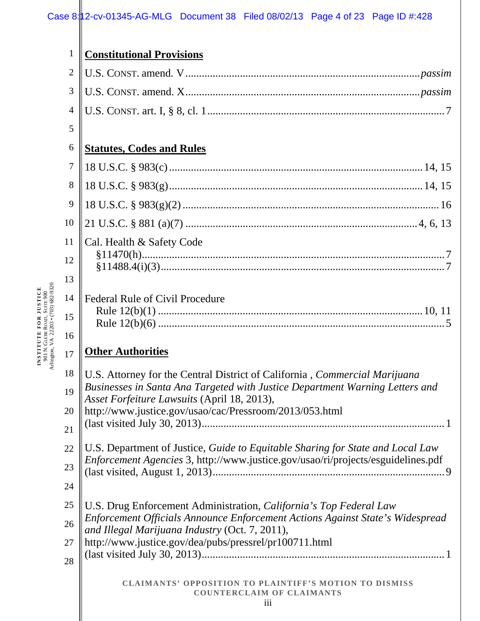# Case 8:12-cv-01345-AG-MLG Document 38 Filed 08/02/13 Page 4 of 23 Page ID #:428

| $\mathbf{1}$   | <b>Constitutional Provisions</b>                                                                                                |
|----------------|---------------------------------------------------------------------------------------------------------------------------------|
| $\overline{2}$ |                                                                                                                                 |
| 3              |                                                                                                                                 |
| $\overline{4}$ |                                                                                                                                 |
| 5              |                                                                                                                                 |
| 6              | <b>Statutes, Codes and Rules</b>                                                                                                |
| 7              |                                                                                                                                 |
| 8              |                                                                                                                                 |
| 9              |                                                                                                                                 |
| 10             |                                                                                                                                 |
| 11             | Cal. Health & Safety Code                                                                                                       |
| 12             |                                                                                                                                 |
| 13             |                                                                                                                                 |
| 14             | <b>Federal Rule of Civil Procedure</b>                                                                                          |
| 15             |                                                                                                                                 |
| 16             |                                                                                                                                 |
| 17             | <b>Other Authorities</b>                                                                                                        |
| 18             | U.S. Attorney for the Central District of California, <i>Commercial Marijuana</i>                                               |
| 19             | Businesses in Santa Ana Targeted with Justice Department Warning Letters and<br>Asset Forfeiture Lawsuits (April 18, 2013),     |
| 20             | http://www.justice.gov/usao/cac/Pressroom/2013/053.html                                                                         |
| 21             |                                                                                                                                 |
| 22             | U.S. Department of Justice, Guide to Equitable Sharing for State and Local Law                                                  |
| 23             | Enforcement Agencies 3, http://www.justice.gov/usao/ri/projects/esguidelines.pdf                                                |
| 24             |                                                                                                                                 |
| 25             | U.S. Drug Enforcement Administration, California's Top Federal Law                                                              |
| 26             | Enforcement Officials Announce Enforcement Actions Against State's Widespread<br>and Illegal Marijuana Industry (Oct. 7, 2011), |
| 27             | http://www.justice.gov/dea/pubs/pressrel/pr100711.html                                                                          |
| 28             |                                                                                                                                 |
|                | <b>CLAIMANTS' OPPOSITION TO PLAINTIFF'S MOTION TO DISMISS</b><br><b>COUNTERCLAIM OF CLAIMANTS</b><br>iii                        |

**INSTITUTE FOR JUSTICE** 901 N. GLEBE ROAD, SUITE 900 Arlington, VA 22203 • (703) 682-9320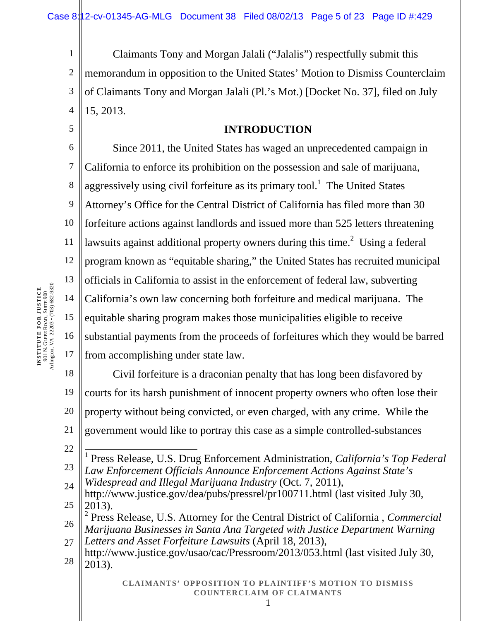1 2 3 4 Claimants Tony and Morgan Jalali ("Jalalis") respectfully submit this memorandum in opposition to the United States' Motion to Dismiss Counterclaim of Claimants Tony and Morgan Jalali (Pl.'s Mot.) [Docket No. 37], filed on July 15, 2013.

# **INTRODUCTION**

6 7 8 9 10 11 12 13 14 15 16 17 Since 2011, the United States has waged an unprecedented campaign in California to enforce its prohibition on the possession and sale of marijuana, aggressively using civil forfeiture as its primary tool.<sup>1</sup> The United States Attorney's Office for the Central District of California has filed more than 30 forfeiture actions against landlords and issued more than 525 letters threatening lawsuits against additional property owners during this time.<sup>2</sup> Using a federal program known as "equitable sharing," the United States has recruited municipal officials in California to assist in the enforcement of federal law, subverting California's own law concerning both forfeiture and medical marijuana. The equitable sharing program makes those municipalities eligible to receive substantial payments from the proceeds of forfeitures which they would be barred from accomplishing under state law.

18 19 20 21 Civil forfeiture is a draconian penalty that has long been disfavored by courts for its harsh punishment of innocent property owners who often lose their property without being convicted, or even charged, with any crime. While the government would like to portray this case as a simple controlled-substances

22

5

- 23 1 Press Release, U.S. Drug Enforcement Administration, *California's Top Federal Law Enforcement Officials Announce Enforcement Actions Against State's*
- 24 *Widespread and Illegal Marijuana Industry* (Oct. 7, 2011),
- 25 http://www.justice.gov/dea/pubs/pressrel/pr100711.html (last visited July 30, 2013).

26 2 Press Release, U.S. Attorney for the Central District of California , *Commercial Marijuana Businesses in Santa Ana Targeted with Justice Department Warning* 

27 *Letters and Asset Forfeiture Lawsuits* (April 18, 2013),

28 http://www.justice.gov/usao/cac/Pressroom/2013/053.html (last visited July 30, 2013).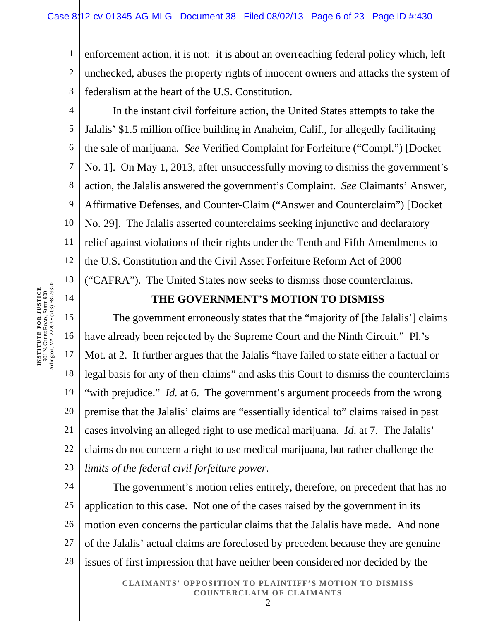1 2 3 enforcement action, it is not: it is about an overreaching federal policy which, left unchecked, abuses the property rights of innocent owners and attacks the system of federalism at the heart of the U.S. Constitution.

4 5 6 7 8 9 10 11 12 13 In the instant civil forfeiture action, the United States attempts to take the Jalalis' \$1.5 million office building in Anaheim, Calif., for allegedly facilitating the sale of marijuana. *See* Verified Complaint for Forfeiture ("Compl.") [Docket No. 1]. On May 1, 2013, after unsuccessfully moving to dismiss the government's action, the Jalalis answered the government's Complaint. *See* Claimants' Answer, Affirmative Defenses, and Counter-Claim ("Answer and Counterclaim") [Docket No. 29]. The Jalalis asserted counterclaims seeking injunctive and declaratory relief against violations of their rights under the Tenth and Fifth Amendments to the U.S. Constitution and the Civil Asset Forfeiture Reform Act of 2000 ("CAFRA"). The United States now seeks to dismiss those counterclaims.

# **THE GOVERNMENT'S MOTION TO DISMISS**

15 16 17 18 19 20 21 22 23 The government erroneously states that the "majority of [the Jalalis'] claims have already been rejected by the Supreme Court and the Ninth Circuit." Pl.'s Mot. at 2. It further argues that the Jalalis "have failed to state either a factual or legal basis for any of their claims" and asks this Court to dismiss the counterclaims "with prejudice." *Id.* at 6. The government's argument proceeds from the wrong premise that the Jalalis' claims are "essentially identical to" claims raised in past cases involving an alleged right to use medical marijuana. *Id*. at 7. The Jalalis' claims do not concern a right to use medical marijuana, but rather challenge the *limits of the federal civil forfeiture power*.

24 25 26 27 28 The government's motion relies entirely, therefore, on precedent that has no application to this case. Not one of the cases raised by the government in its motion even concerns the particular claims that the Jalalis have made. And none of the Jalalis' actual claims are foreclosed by precedent because they are genuine issues of first impression that have neither been considered nor decided by the

> **CLAIMANTS' OPPOSITION TO PLAINTIFF'S MOTION TO DISMISS COUNTERCLAIM OF CLAIMANTS**  2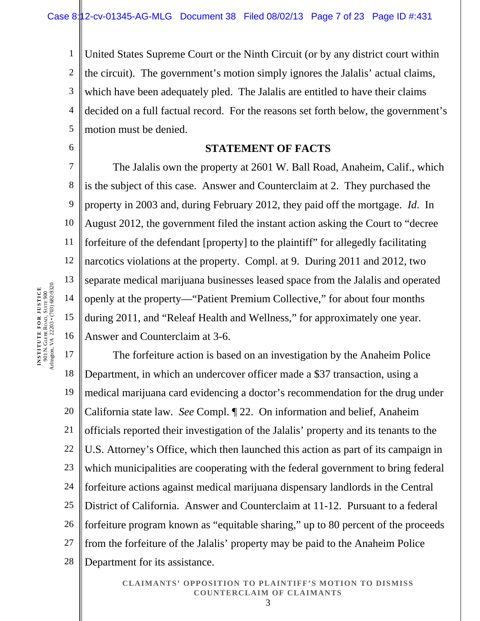1 2 3 4 5 United States Supreme Court or the Ninth Circuit (or by any district court within the circuit). The government's motion simply ignores the Jalalis' actual claims, which have been adequately pled. The Jalalis are entitled to have their claims decided on a full factual record. For the reasons set forth below, the government's motion must be denied.

#### **STATEMENT OF FACTS**

7 8 9 10 11 12 13 14 15 16 The Jalalis own the property at 2601 W. Ball Road, Anaheim, Calif., which is the subject of this case. Answer and Counterclaim at 2. They purchased the property in 2003 and, during February 2012, they paid off the mortgage. *Id*. In August 2012, the government filed the instant action asking the Court to "decree forfeiture of the defendant [property] to the plaintiff" for allegedly facilitating narcotics violations at the property. Compl. at 9. During 2011 and 2012, two separate medical marijuana businesses leased space from the Jalalis and operated openly at the property—"Patient Premium Collective," for about four months during 2011, and "Releaf Health and Wellness," for approximately one year. Answer and Counterclaim at 3-6.

17 18 19 20 21 22 23 24 25 26 27 28 The forfeiture action is based on an investigation by the Anaheim Police Department, in which an undercover officer made a \$37 transaction, using a medical marijuana card evidencing a doctor's recommendation for the drug under California state law. *See* Compl. ¶ 22. On information and belief, Anaheim officials reported their investigation of the Jalalis' property and its tenants to the U.S. Attorney's Office, which then launched this action as part of its campaign in which municipalities are cooperating with the federal government to bring federal forfeiture actions against medical marijuana dispensary landlords in the Central District of California. Answer and Counterclaim at 11-12. Pursuant to a federal forfeiture program known as "equitable sharing," up to 80 percent of the proceeds from the forfeiture of the Jalalis' property may be paid to the Anaheim Police Department for its assistance.

#### **CLAIMANTS' OPPOSITION TO PLAINTIFF'S MOTION TO DISMISS COUNTERCLAIM OF CLAIMANTS**  3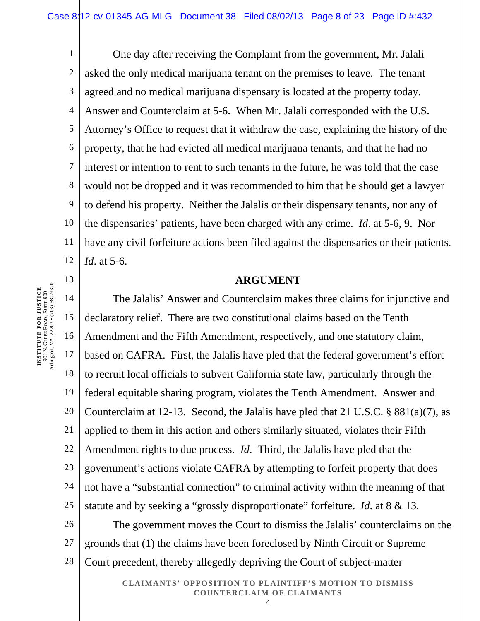1 2 3 4 5 6 7 8 9 10 11 12 One day after receiving the Complaint from the government, Mr. Jalali asked the only medical marijuana tenant on the premises to leave. The tenant agreed and no medical marijuana dispensary is located at the property today. Answer and Counterclaim at 5-6. When Mr. Jalali corresponded with the U.S. Attorney's Office to request that it withdraw the case, explaining the history of the property, that he had evicted all medical marijuana tenants, and that he had no interest or intention to rent to such tenants in the future, he was told that the case would not be dropped and it was recommended to him that he should get a lawyer to defend his property. Neither the Jalalis or their dispensary tenants, nor any of the dispensaries' patients, have been charged with any crime. *Id*. at 5-6, 9. Nor have any civil forfeiture actions been filed against the dispensaries or their patients. *Id*. at 5-6.

#### **ARGUMENT**

14 15 16 17 18 19 20 21 22 23 24 25 The Jalalis' Answer and Counterclaim makes three claims for injunctive and declaratory relief. There are two constitutional claims based on the Tenth Amendment and the Fifth Amendment, respectively, and one statutory claim, based on CAFRA. First, the Jalalis have pled that the federal government's effort to recruit local officials to subvert California state law, particularly through the federal equitable sharing program, violates the Tenth Amendment. Answer and Counterclaim at 12-13. Second, the Jalalis have pled that 21 U.S.C. § 881(a)(7), as applied to them in this action and others similarly situated, violates their Fifth Amendment rights to due process. *Id*. Third, the Jalalis have pled that the government's actions violate CAFRA by attempting to forfeit property that does not have a "substantial connection" to criminal activity within the meaning of that statute and by seeking a "grossly disproportionate" forfeiture. *Id*. at 8 & 13.

26 27 28 The government moves the Court to dismiss the Jalalis' counterclaims on the grounds that (1) the claims have been foreclosed by Ninth Circuit or Supreme Court precedent, thereby allegedly depriving the Court of subject-matter

> **CLAIMANTS' OPPOSITION TO PLAINTIFF'S MOTION TO DISMISS COUNTERCLAIM OF CLAIMANTS**   $\Delta$

**INSTITUTE FOR JUSTICE** 901 N. GLEBE ROAD, SUITE 900 Arlington, VA 22203 • (703) 682-9320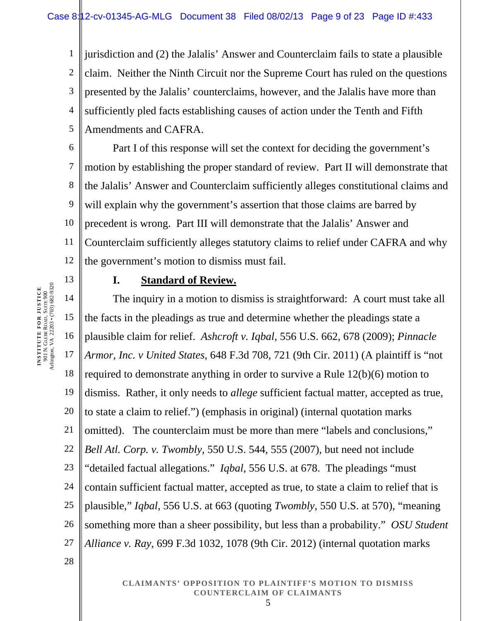1 2 3 4 5 jurisdiction and (2) the Jalalis' Answer and Counterclaim fails to state a plausible claim. Neither the Ninth Circuit nor the Supreme Court has ruled on the questions presented by the Jalalis' counterclaims, however, and the Jalalis have more than sufficiently pled facts establishing causes of action under the Tenth and Fifth Amendments and CAFRA.

6 7 8 9 10 11 12 Part I of this response will set the context for deciding the government's motion by establishing the proper standard of review. Part II will demonstrate that the Jalalis' Answer and Counterclaim sufficiently alleges constitutional claims and will explain why the government's assertion that those claims are barred by precedent is wrong. Part III will demonstrate that the Jalalis' Answer and Counterclaim sufficiently alleges statutory claims to relief under CAFRA and why the government's motion to dismiss must fail.

## **I. Standard of Review.**

14 15 16 17 18 19 20 21 22 23 24 25 26 27 The inquiry in a motion to dismiss is straightforward: A court must take all the facts in the pleadings as true and determine whether the pleadings state a plausible claim for relief. *Ashcroft v. Iqbal*, 556 U.S. 662, 678 (2009); *Pinnacle Armor, Inc. v United States*, 648 F.3d 708, 721 (9th Cir. 2011) (A plaintiff is "not required to demonstrate anything in order to survive a Rule 12(b)(6) motion to dismiss. Rather, it only needs to *allege* sufficient factual matter, accepted as true, to state a claim to relief.") (emphasis in original) (internal quotation marks omitted). The counterclaim must be more than mere "labels and conclusions," *Bell Atl. Corp. v. Twombly*, 550 U.S. 544, 555 (2007), but need not include "detailed factual allegations." *Iqbal*, 556 U.S. at 678. The pleadings "must contain sufficient factual matter, accepted as true, to state a claim to relief that is plausible," *Iqbal*, 556 U.S. at 663 (quoting *Twombly*, 550 U.S. at 570), "meaning something more than a sheer possibility, but less than a probability." *OSU Student Alliance v. Ray*, 699 F.3d 1032, 1078 (9th Cir. 2012) (internal quotation marks

> **CLAIMANTS' OPPOSITION TO PLAINTIFF'S MOTION TO DISMISS COUNTERCLAIM OF CLAIMANTS**  5

**INSTITUTE FOR JUSTICE** 901 N. GLEBE ROAD, SUITE 900 Arlington, VA 22203 • (703) 682-9320 13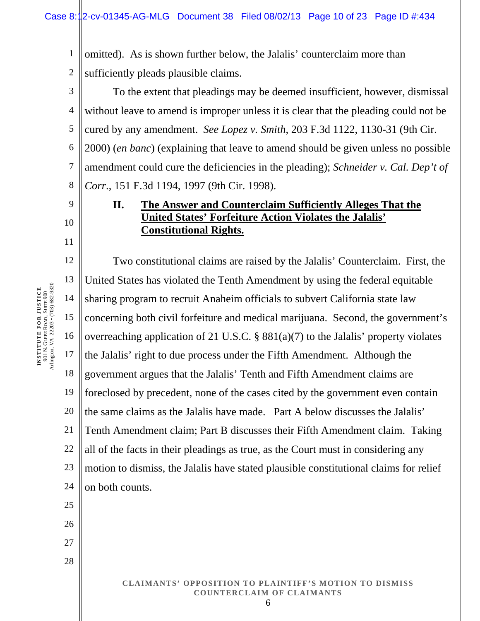1 2 omitted). As is shown further below, the Jalalis' counterclaim more than sufficiently pleads plausible claims.

3 4 5 6 7 8 To the extent that pleadings may be deemed insufficient, however, dismissal without leave to amend is improper unless it is clear that the pleading could not be cured by any amendment. *See Lopez v. Smith*, 203 F.3d 1122, 1130-31 (9th Cir. 2000) (*en banc*) (explaining that leave to amend should be given unless no possible amendment could cure the deficiencies in the pleading); *Schneider v. Cal. Dep't of Corr*., 151 F.3d 1194, 1997 (9th Cir. 1998).

# **II. The Answer and Counterclaim Sufficiently Alleges That the United States' Forfeiture Action Violates the Jalalis' Constitutional Rights.**

12 13 14 15 16 17 18 19 20 21 22 23 24 25 Two constitutional claims are raised by the Jalalis' Counterclaim. First, the United States has violated the Tenth Amendment by using the federal equitable sharing program to recruit Anaheim officials to subvert California state law concerning both civil forfeiture and medical marijuana. Second, the government's overreaching application of 21 U.S.C. § 881(a)(7) to the Jalalis' property violates the Jalalis' right to due process under the Fifth Amendment. Although the government argues that the Jalalis' Tenth and Fifth Amendment claims are foreclosed by precedent, none of the cases cited by the government even contain the same claims as the Jalalis have made. Part A below discusses the Jalalis' Tenth Amendment claim; Part B discusses their Fifth Amendment claim. Taking all of the facts in their pleadings as true, as the Court must in considering any motion to dismiss, the Jalalis have stated plausible constitutional claims for relief on both counts.

> **CLAIMANTS' OPPOSITION TO PLAINTIFF'S MOTION TO DISMISS COUNTERCLAIM OF CLAIMANTS**  6

9

10

11

26

27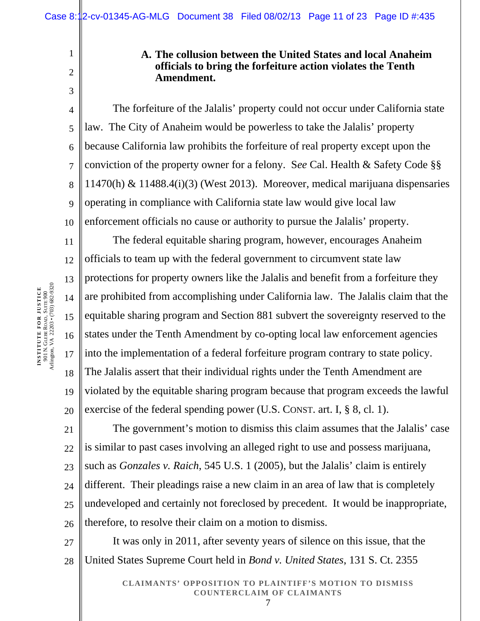# **INSTITUTE FOR JUSTICE** 901 N. GLEBE ROAD, SUITE 900 Arlington, VA 22203 • (703) 682-9320

1

2

3

**A. The collusion between the United States and local Anaheim officials to bring the forfeiture action violates the Tenth Amendment.** 

4 5 6 7 8  $\overline{Q}$ 10 The forfeiture of the Jalalis' property could not occur under California state law. The City of Anaheim would be powerless to take the Jalalis' property because California law prohibits the forfeiture of real property except upon the conviction of the property owner for a felony. S*ee* Cal. Health & Safety Code §§ 11470(h) & 11488.4(i)(3) (West 2013). Moreover, medical marijuana dispensaries operating in compliance with California state law would give local law enforcement officials no cause or authority to pursue the Jalalis' property.

11 12 13 14 15 16 17 18 19 20 The federal equitable sharing program, however, encourages Anaheim officials to team up with the federal government to circumvent state law protections for property owners like the Jalalis and benefit from a forfeiture they are prohibited from accomplishing under California law. The Jalalis claim that the equitable sharing program and Section 881 subvert the sovereignty reserved to the states under the Tenth Amendment by co-opting local law enforcement agencies into the implementation of a federal forfeiture program contrary to state policy. The Jalalis assert that their individual rights under the Tenth Amendment are violated by the equitable sharing program because that program exceeds the lawful exercise of the federal spending power (U.S. CONST. art. I, § 8, cl. 1).

21 22 23 24 25 26 The government's motion to dismiss this claim assumes that the Jalalis' case is similar to past cases involving an alleged right to use and possess marijuana, such as *Gonzales v. Raich*, 545 U.S. 1 (2005), but the Jalalis' claim is entirely different. Their pleadings raise a new claim in an area of law that is completely undeveloped and certainly not foreclosed by precedent. It would be inappropriate, therefore, to resolve their claim on a motion to dismiss.

It was only in 2011, after seventy years of silence on this issue, that the United States Supreme Court held in *Bond v. United States*, 131 S. Ct. 2355

> **CLAIMANTS' OPPOSITION TO PLAINTIFF'S MOTION TO DISMISS COUNTERCLAIM OF CLAIMANTS**  7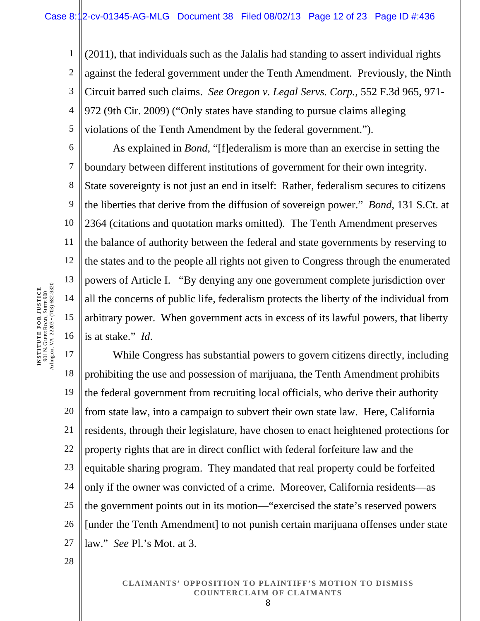1 2 3 4 5 (2011), that individuals such as the Jalalis had standing to assert individual rights against the federal government under the Tenth Amendment. Previously, the Ninth Circuit barred such claims. *See Oregon v. Legal Servs. Corp.*, 552 F.3d 965, 971- 972 (9th Cir. 2009) ("Only states have standing to pursue claims alleging violations of the Tenth Amendment by the federal government.").

6 7 8 9 10 11 12 13 14 15 16 As explained in *Bond*, "[f]ederalism is more than an exercise in setting the boundary between different institutions of government for their own integrity. State sovereignty is not just an end in itself: Rather, federalism secures to citizens the liberties that derive from the diffusion of sovereign power." *Bond*, 131 S.Ct. at 2364 (citations and quotation marks omitted). The Tenth Amendment preserves the balance of authority between the federal and state governments by reserving to the states and to the people all rights not given to Congress through the enumerated powers of Article I. "By denying any one government complete jurisdiction over all the concerns of public life, federalism protects the liberty of the individual from arbitrary power. When government acts in excess of its lawful powers, that liberty is at stake." *Id*.

17 18 19 20 21 22 23 24 25 26 27 While Congress has substantial powers to govern citizens directly, including prohibiting the use and possession of marijuana, the Tenth Amendment prohibits the federal government from recruiting local officials, who derive their authority from state law, into a campaign to subvert their own state law. Here, California residents, through their legislature, have chosen to enact heightened protections for property rights that are in direct conflict with federal forfeiture law and the equitable sharing program. They mandated that real property could be forfeited only if the owner was convicted of a crime. Moreover, California residents—as the government points out in its motion—"exercised the state's reserved powers [under the Tenth Amendment] to not punish certain marijuana offenses under state law." *See* Pl.'s Mot. at 3.

> **CLAIMANTS' OPPOSITION TO PLAINTIFF'S MOTION TO DISMISS COUNTERCLAIM OF CLAIMANTS**  8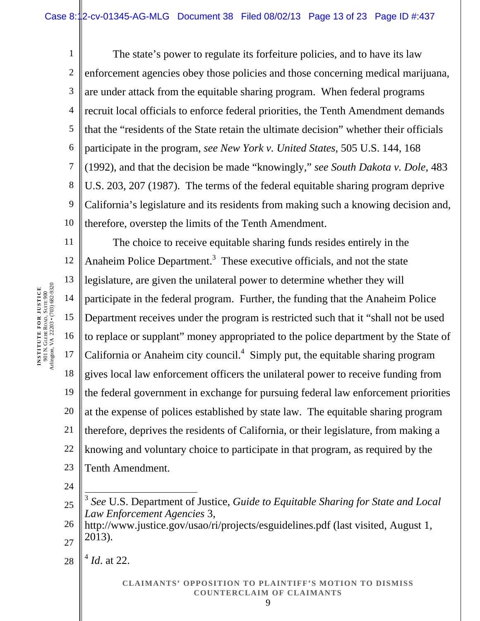1 2 3 4 5 6 7 8 9 10 The state's power to regulate its forfeiture policies, and to have its law enforcement agencies obey those policies and those concerning medical marijuana, are under attack from the equitable sharing program. When federal programs recruit local officials to enforce federal priorities, the Tenth Amendment demands that the "residents of the State retain the ultimate decision" whether their officials participate in the program, *see New York v. United States*, 505 U.S. 144, 168 (1992), and that the decision be made "knowingly," *see South Dakota v. Dole*, 483 U.S. 203, 207 (1987). The terms of the federal equitable sharing program deprive California's legislature and its residents from making such a knowing decision and, therefore, overstep the limits of the Tenth Amendment.

11 12 13 14 15 16 17 18 19 20 21 22 23 The choice to receive equitable sharing funds resides entirely in the Anaheim Police Department.<sup>3</sup> These executive officials, and not the state legislature, are given the unilateral power to determine whether they will participate in the federal program. Further, the funding that the Anaheim Police Department receives under the program is restricted such that it "shall not be used to replace or supplant" money appropriated to the police department by the State of California or Anaheim city council.<sup>4</sup> Simply put, the equitable sharing program gives local law enforcement officers the unilateral power to receive funding from the federal government in exchange for pursuing federal law enforcement priorities at the expense of polices established by state law. The equitable sharing program therefore, deprives the residents of California, or their legislature, from making a knowing and voluntary choice to participate in that program, as required by the Tenth Amendment.

24

28  $^{4}$  *Id.* at 22.

<sup>25</sup>  $\overline{a}$ <sup>3</sup> *See* U.S. Department of Justice, *Guide to Equitable Sharing for State and Local Law Enforcement Agencies* 3,

<sup>26</sup> 27 http://www.justice.gov/usao/ri/projects/esguidelines.pdf (last visited, August 1, 2013).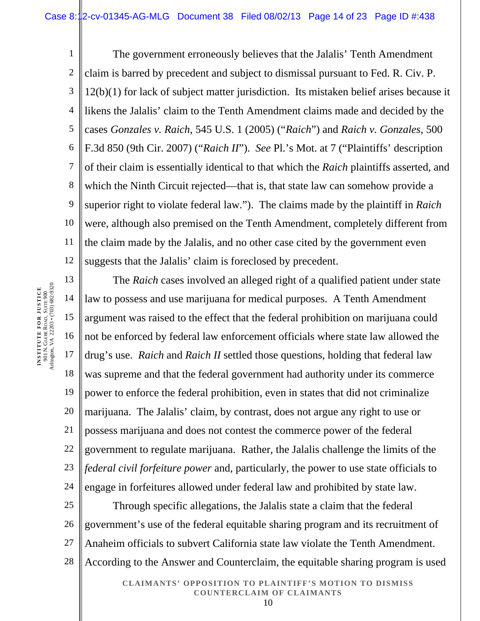1 2 3 4 5 6 7 8 9 10 11 12 The government erroneously believes that the Jalalis' Tenth Amendment claim is barred by precedent and subject to dismissal pursuant to Fed. R. Civ. P. 12(b)(1) for lack of subject matter jurisdiction. Its mistaken belief arises because it likens the Jalalis' claim to the Tenth Amendment claims made and decided by the cases *Gonzales v. Raich*, 545 U.S. 1 (2005) ("*Raich*") and *Raich v. Gonzales*, 500 F.3d 850 (9th Cir. 2007) ("*Raich II*"). *See* Pl.'s Mot. at 7 ("Plaintiffs' description of their claim is essentially identical to that which the *Raich* plaintiffs asserted, and which the Ninth Circuit rejected—that is, that state law can somehow provide a superior right to violate federal law."). The claims made by the plaintiff in *Raich* were, although also premised on the Tenth Amendment, completely different from the claim made by the Jalalis, and no other case cited by the government even suggests that the Jalalis' claim is foreclosed by precedent.

13 14 15 16 17 18 19 20 21 22 23 24 The *Raich* cases involved an alleged right of a qualified patient under state law to possess and use marijuana for medical purposes. A Tenth Amendment argument was raised to the effect that the federal prohibition on marijuana could not be enforced by federal law enforcement officials where state law allowed the drug's use. *Raich* and *Raich II* settled those questions, holding that federal law was supreme and that the federal government had authority under its commerce power to enforce the federal prohibition, even in states that did not criminalize marijuana. The Jalalis' claim, by contrast, does not argue any right to use or possess marijuana and does not contest the commerce power of the federal government to regulate marijuana. Rather, the Jalalis challenge the limits of the *federal civil forfeiture power* and, particularly, the power to use state officials to engage in forfeitures allowed under federal law and prohibited by state law.

25 26 27 28 Through specific allegations, the Jalalis state a claim that the federal government's use of the federal equitable sharing program and its recruitment of Anaheim officials to subvert California state law violate the Tenth Amendment. According to the Answer and Counterclaim, the equitable sharing program is used

> **CLAIMANTS' OPPOSITION TO PLAINTIFF'S MOTION TO DISMISS COUNTERCLAIM OF CLAIMANTS**  10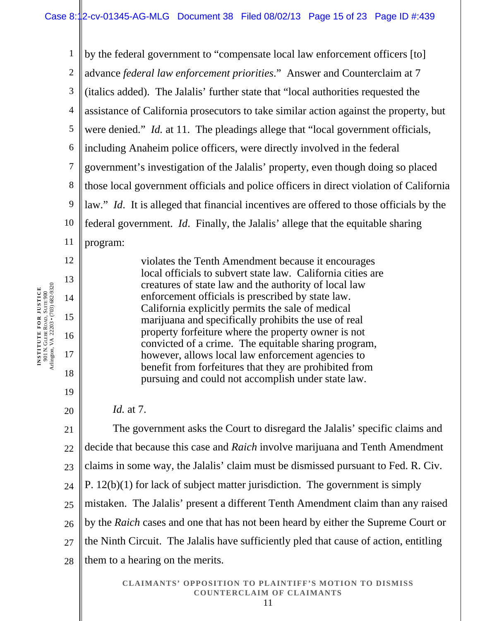1 2 3 4 5 6 7 8 9 10 11 12 13 14 by the federal government to "compensate local law enforcement officers [to] advance *federal law enforcement priorities*." Answer and Counterclaim at 7 (italics added). The Jalalis' further state that "local authorities requested the assistance of California prosecutors to take similar action against the property, but were denied." *Id.* at 11. The pleadings allege that "local government officials, including Anaheim police officers, were directly involved in the federal government's investigation of the Jalalis' property, even though doing so placed those local government officials and police officers in direct violation of California law." *Id*. It is alleged that financial incentives are offered to those officials by the federal government. *Id*. Finally, the Jalalis' allege that the equitable sharing program: violates the Tenth Amendment because it encourages local officials to subvert state law. California cities are creatures of state law and the authority of local law enforcement officials is prescribed by state law.

California explicitly permits the sale of medical marijuana and specifically prohibits the use of real property forfeiture where the property owner is not convicted of a crime. The equitable sharing program, however, allows local law enforcement agencies to benefit from forfeitures that they are prohibited from pursuing and could not accomplish under state law.

*Id.* at 7.

21 22 23 24 25 26 27 28 The government asks the Court to disregard the Jalalis' specific claims and decide that because this case and *Raich* involve marijuana and Tenth Amendment claims in some way, the Jalalis' claim must be dismissed pursuant to Fed. R. Civ. P. 12(b)(1) for lack of subject matter jurisdiction. The government is simply mistaken. The Jalalis' present a different Tenth Amendment claim than any raised by the *Raich* cases and one that has not been heard by either the Supreme Court or the Ninth Circuit. The Jalalis have sufficiently pled that cause of action, entitling them to a hearing on the merits.

15

16

17

18

19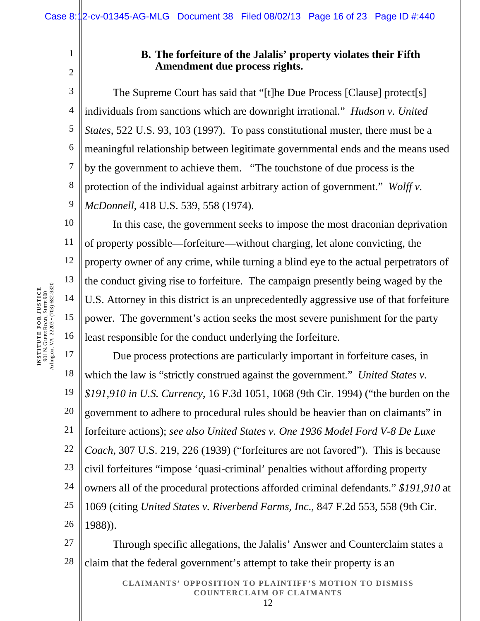1

2

10

11

12

13

14

15

16

# **B. The forfeiture of the Jalalis' property violates their Fifth Amendment due process rights.**

3 4 5 6 7 8 9 The Supreme Court has said that "[t]he Due Process [Clause] protect[s] individuals from sanctions which are downright irrational." *Hudson v. United States*, 522 U.S. 93, 103 (1997). To pass constitutional muster, there must be a meaningful relationship between legitimate governmental ends and the means used by the government to achieve them. "The touchstone of due process is the protection of the individual against arbitrary action of government." *Wolff v. McDonnell*, 418 U.S. 539, 558 (1974).

In this case, the government seeks to impose the most draconian deprivation of property possible—forfeiture—without charging, let alone convicting, the property owner of any crime, while turning a blind eye to the actual perpetrators of the conduct giving rise to forfeiture. The campaign presently being waged by the U.S. Attorney in this district is an unprecedentedly aggressive use of that forfeiture power. The government's action seeks the most severe punishment for the party least responsible for the conduct underlying the forfeiture.

17 18 19 20 21 22 23 24 25 26 Due process protections are particularly important in forfeiture cases, in which the law is "strictly construed against the government." *United States v. \$191,910 in U.S. Currency*, 16 F.3d 1051, 1068 (9th Cir. 1994) ("the burden on the government to adhere to procedural rules should be heavier than on claimants" in forfeiture actions); *see also United States v. One 1936 Model Ford V-8 De Luxe Coach*, 307 U.S. 219, 226 (1939) ("forfeitures are not favored"). This is because civil forfeitures "impose 'quasi-criminal' penalties without affording property owners all of the procedural protections afforded criminal defendants." *\$191,910* at 1069 (citing *United States v. Riverbend Farms, Inc*., 847 F.2d 553, 558 (9th Cir. 1988)).

27 28 Through specific allegations, the Jalalis' Answer and Counterclaim states a claim that the federal government's attempt to take their property is an

> **CLAIMANTS' OPPOSITION TO PLAINTIFF'S MOTION TO DISMISS COUNTERCLAIM OF CLAIMANTS**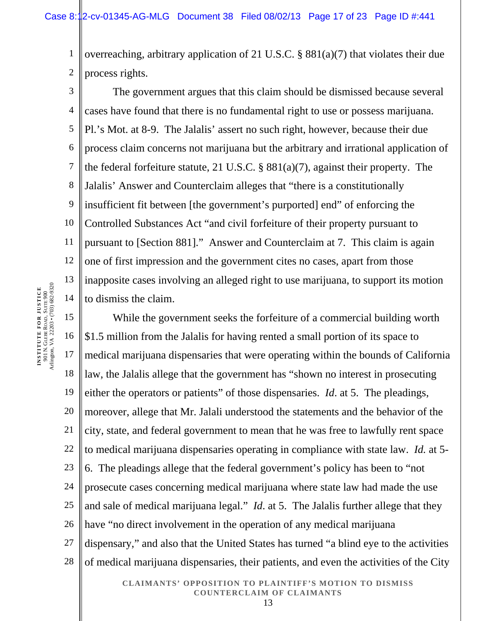1 2 overreaching, arbitrary application of 21 U.S.C. § 881(a)(7) that violates their due process rights.

3 4 5 6 7 8 9 10 11 12 13 14 The government argues that this claim should be dismissed because several cases have found that there is no fundamental right to use or possess marijuana. Pl.'s Mot. at 8-9. The Jalalis' assert no such right, however, because their due process claim concerns not marijuana but the arbitrary and irrational application of the federal forfeiture statute, 21 U.S.C. § 881(a)(7), against their property. The Jalalis' Answer and Counterclaim alleges that "there is a constitutionally insufficient fit between [the government's purported] end" of enforcing the Controlled Substances Act "and civil forfeiture of their property pursuant to pursuant to [Section 881]." Answer and Counterclaim at 7. This claim is again one of first impression and the government cites no cases, apart from those inapposite cases involving an alleged right to use marijuana, to support its motion to dismiss the claim.

15 16 17 18 19 20 21 22 23 24 25 26 27 28 While the government seeks the forfeiture of a commercial building worth \$1.5 million from the Jalalis for having rented a small portion of its space to medical marijuana dispensaries that were operating within the bounds of California law, the Jalalis allege that the government has "shown no interest in prosecuting either the operators or patients" of those dispensaries. *Id*. at 5. The pleadings, moreover, allege that Mr. Jalali understood the statements and the behavior of the city, state, and federal government to mean that he was free to lawfully rent space to medical marijuana dispensaries operating in compliance with state law. *Id.* at 5- 6. The pleadings allege that the federal government's policy has been to "not prosecute cases concerning medical marijuana where state law had made the use and sale of medical marijuana legal." *Id*. at 5. The Jalalis further allege that they have "no direct involvement in the operation of any medical marijuana dispensary," and also that the United States has turned "a blind eye to the activities of medical marijuana dispensaries, their patients, and even the activities of the City

> **CLAIMANTS' OPPOSITION TO PLAINTIFF'S MOTION TO DISMISS COUNTERCLAIM OF CLAIMANTS**  13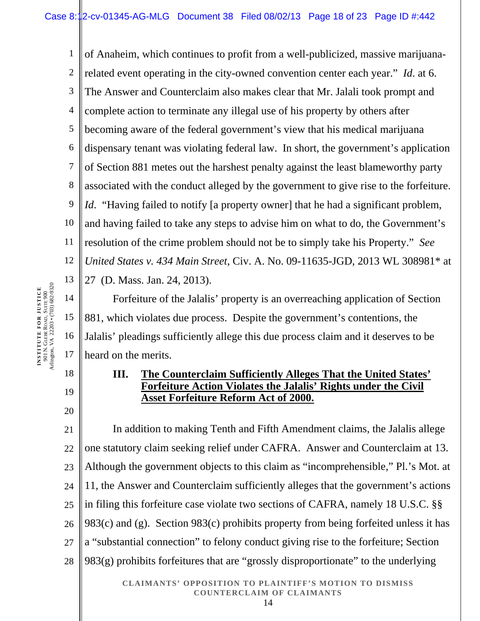1 2 3 4 5 6 7 8 9 10 11 12 13 of Anaheim, which continues to profit from a well-publicized, massive marijuanarelated event operating in the city-owned convention center each year." *Id*. at 6. The Answer and Counterclaim also makes clear that Mr. Jalali took prompt and complete action to terminate any illegal use of his property by others after becoming aware of the federal government's view that his medical marijuana dispensary tenant was violating federal law. In short, the government's application of Section 881 metes out the harshest penalty against the least blameworthy party associated with the conduct alleged by the government to give rise to the forfeiture. *Id.* "Having failed to notify [a property owner] that he had a significant problem, and having failed to take any steps to advise him on what to do, the Government's resolution of the crime problem should not be to simply take his Property." *See United States v. 434 Main Street*, Civ. A. No. 09-11635-JGD, 2013 WL 308981\* at 27 (D. Mass. Jan. 24, 2013).

14 15 16 17 Forfeiture of the Jalalis' property is an overreaching application of Section 881, which violates due process. Despite the government's contentions, the Jalalis' pleadings sufficiently allege this due process claim and it deserves to be heard on the merits.

# **III. The Counterclaim Sufficiently Alleges That the United States' Forfeiture Action Violates the Jalalis' Rights under the Civil Asset Forfeiture Reform Act of 2000.**

21 22 23 24 25 26 27 28 In addition to making Tenth and Fifth Amendment claims, the Jalalis allege one statutory claim seeking relief under CAFRA. Answer and Counterclaim at 13. Although the government objects to this claim as "incomprehensible," Pl.'s Mot. at 11, the Answer and Counterclaim sufficiently alleges that the government's actions in filing this forfeiture case violate two sections of CAFRA, namely 18 U.S.C. §§ 983(c) and (g). Section 983(c) prohibits property from being forfeited unless it has a "substantial connection" to felony conduct giving rise to the forfeiture; Section 983(g) prohibits forfeitures that are "grossly disproportionate" to the underlying

> **CLAIMANTS' OPPOSITION TO PLAINTIFF'S MOTION TO DISMISS COUNTERCLAIM OF CLAIMANTS**  14

18

19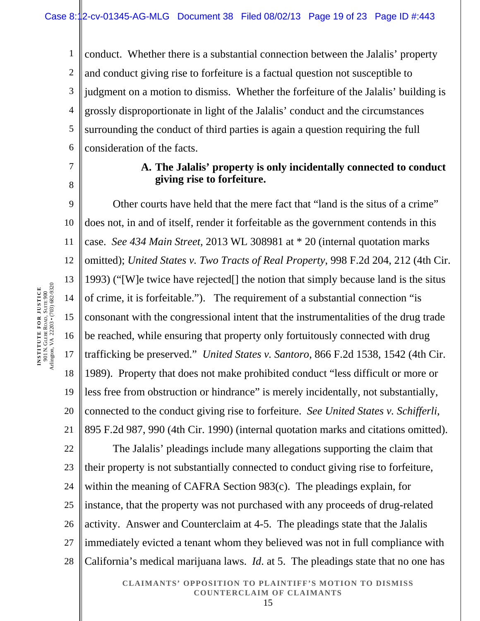1 2 3 4 5 6 conduct. Whether there is a substantial connection between the Jalalis' property and conduct giving rise to forfeiture is a factual question not susceptible to judgment on a motion to dismiss. Whether the forfeiture of the Jalalis' building is grossly disproportionate in light of the Jalalis' conduct and the circumstances surrounding the conduct of third parties is again a question requiring the full consideration of the facts.

# 7 8

## **A. The Jalalis' property is only incidentally connected to conduct giving rise to forfeiture.**

9 10 11 12 13 14 15 16 17 18 19 20 21 22 Other courts have held that the mere fact that "land is the situs of a crime" does not, in and of itself, render it forfeitable as the government contends in this case. *See 434 Main Street,* 2013 WL 308981 at \* 20 (internal quotation marks omitted); *United States v. Two Tracts of Real Property*, 998 F.2d 204, 212 (4th Cir. 1993) ("[W]e twice have rejected[] the notion that simply because land is the situs of crime, it is forfeitable."). The requirement of a substantial connection "is consonant with the congressional intent that the instrumentalities of the drug trade be reached, while ensuring that property only fortuitously connected with drug trafficking be preserved." *United States v. Santoro*, 866 F.2d 1538, 1542 (4th Cir. 1989). Property that does not make prohibited conduct "less difficult or more or less free from obstruction or hindrance" is merely incidentally, not substantially, connected to the conduct giving rise to forfeiture. *See United States v. Schifferli*, 895 F.2d 987, 990 (4th Cir. 1990) (internal quotation marks and citations omitted). The Jalalis' pleadings include many allegations supporting the claim that

23 24 25 26 27 28 their property is not substantially connected to conduct giving rise to forfeiture, within the meaning of CAFRA Section 983(c). The pleadings explain, for instance, that the property was not purchased with any proceeds of drug-related activity. Answer and Counterclaim at 4-5. The pleadings state that the Jalalis immediately evicted a tenant whom they believed was not in full compliance with California's medical marijuana laws. *Id*. at 5. The pleadings state that no one has

#### **CLAIMANTS' OPPOSITION TO PLAINTIFF'S MOTION TO DISMISS COUNTERCLAIM OF CLAIMANTS**  15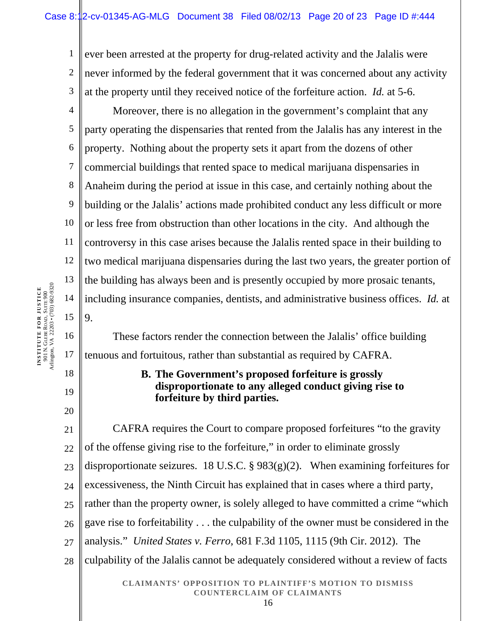1 2 3 ever been arrested at the property for drug-related activity and the Jalalis were never informed by the federal government that it was concerned about any activity at the property until they received notice of the forfeiture action. *Id.* at 5-6.

4 5 6 7 8 9 10 11 12 13 14 15 Moreover, there is no allegation in the government's complaint that any party operating the dispensaries that rented from the Jalalis has any interest in the property. Nothing about the property sets it apart from the dozens of other commercial buildings that rented space to medical marijuana dispensaries in Anaheim during the period at issue in this case, and certainly nothing about the building or the Jalalis' actions made prohibited conduct any less difficult or more or less free from obstruction than other locations in the city. And although the controversy in this case arises because the Jalalis rented space in their building to two medical marijuana dispensaries during the last two years, the greater portion of the building has always been and is presently occupied by more prosaic tenants, including insurance companies, dentists, and administrative business offices. *Id.* at 9.

 These factors render the connection between the Jalalis' office building tenuous and fortuitous, rather than substantial as required by CAFRA.

## **B. The Government's proposed forfeiture is grossly disproportionate to any alleged conduct giving rise to forfeiture by third parties.**

21 22 23 24 25 26 27 28 CAFRA requires the Court to compare proposed forfeitures "to the gravity of the offense giving rise to the forfeiture," in order to eliminate grossly disproportionate seizures. 18 U.S.C. §  $983(g)(2)$ . When examining forfeitures for excessiveness, the Ninth Circuit has explained that in cases where a third party, rather than the property owner, is solely alleged to have committed a crime "which gave rise to forfeitability . . . the culpability of the owner must be considered in the analysis." *United States v. Ferro*, 681 F.3d 1105, 1115 (9th Cir. 2012). The culpability of the Jalalis cannot be adequately considered without a review of facts

> **CLAIMANTS' OPPOSITION TO PLAINTIFF'S MOTION TO DISMISS COUNTERCLAIM OF CLAIMANTS**  16

16

17

18

19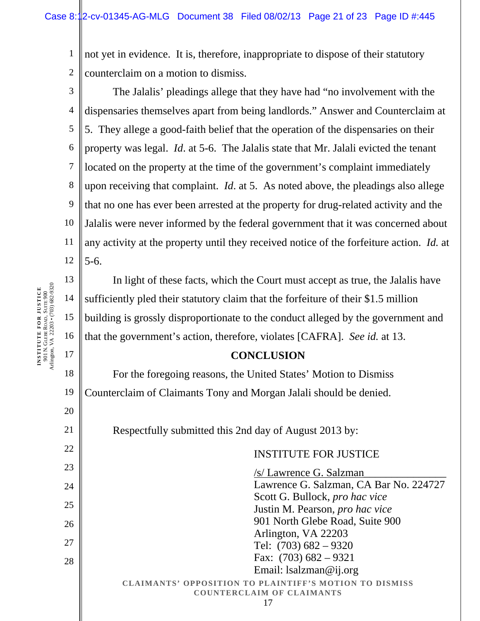1 2 not yet in evidence. It is, therefore, inappropriate to dispose of their statutory counterclaim on a motion to dismiss.

3 4 5 6 7 8 9 10 11 12 The Jalalis' pleadings allege that they have had "no involvement with the dispensaries themselves apart from being landlords." Answer and Counterclaim at 5. They allege a good-faith belief that the operation of the dispensaries on their property was legal. *Id*. at 5-6. The Jalalis state that Mr. Jalali evicted the tenant located on the property at the time of the government's complaint immediately upon receiving that complaint. *Id*. at 5. As noted above, the pleadings also allege that no one has ever been arrested at the property for drug-related activity and the Jalalis were never informed by the federal government that it was concerned about any activity at the property until they received notice of the forfeiture action. *Id.* at 5-6.

In light of these facts, which the Court must accept as true, the Jalalis have sufficiently pled their statutory claim that the forfeiture of their \$1.5 million building is grossly disproportionate to the conduct alleged by the government and that the government's action, therefore, violates [CAFRA]. *See id.* at 13.

#### **CONCLUSION**

For the foregoing reasons, the United States' Motion to Dismiss Counterclaim of Claimants Tony and Morgan Jalali should be denied.

Respectfully submitted this 2nd day of August 2013 by:

## INSTITUTE FOR JUSTICE

**CLAIMANTS' OPPOSITION TO PLAINTIFF'S MOTION TO DISMISS COUNTERCLAIM OF CLAIMANTS**  17 /s/ Lawrence G. Salzman\_\_\_\_\_\_\_\_\_\_\_\_\_\_\_ Lawrence G. Salzman, CA Bar No. 224727 Scott G. Bullock, *pro hac vice*  Justin M. Pearson, *pro hac vice* 901 North Glebe Road, Suite 900 Arlington, VA 22203 Tel: (703) 682 – 9320 Fax: (703) 682 – 9321 Email: lsalzman@ij.org

**INSTITUTE FOR JUSTICE** 901 N. GLEBE ROAD, SUITE 900 Arlington, VA 22203 • (703) 682-9320

13

14

15

16

17

18

19

20

21

22

23

24

25

26

27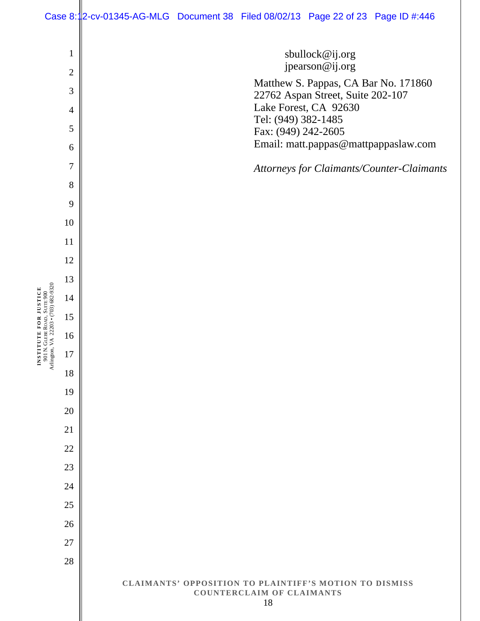#### Case 8:12-cv-01345-AG-MLG Document 38 Filed 08/02/13 Page 22 of 23 Page ID #:446

 sbullock@ij.org jpearson@ij.org Matthew S. Pappas, CA Bar No. 171860 22762 Aspan Street, Suite 202-107 Lake Forest, CA 92630 Tel: (949) 382-1485 Fax: (949) 242-2605 Email: matt.pappas@mattpappaslaw.com

*Attorneys for Claimants/Counter-Claimants*